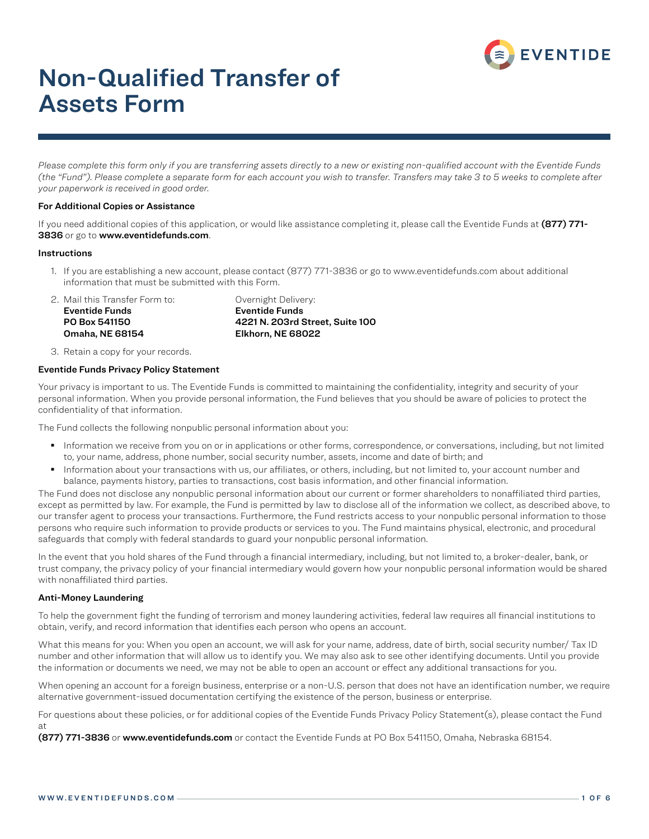

# Non-Qualified Transfer of Assets Form

*Please complete this form only if you are transferring assets directly to a new or existing non-qualified account with the Eventide Funds (the "Fund"). Please complete a separate form for each account you wish to transfer. Transfers may take 3 to 5 weeks to complete after your paperwork is received in good order.*

#### For Additional Copies or Assistance

If you need additional copies of this application, or would like assistance completing it, please call the Eventide Funds at (877) 771-3836 or go to www.eventidefunds.com.

#### **Instructions**

1. If you are establishing a new account, please contact (877) 771-3836 or go to www.eventidefunds.com about additional information that must be submitted with this Form.

2. Mail this Transfer Form to: Overnight Delivery: Eventide Funds Eventide Funds Omaha, NE 68154 Elkhorn, NE 68022

PO Box 541150 4221 N. 203rd Street, Suite 100

3. Retain a copy for your records.

#### Eventide Funds Privacy Policy Statement

Your privacy is important to us. The Eventide Funds is committed to maintaining the confidentiality, integrity and security of your personal information. When you provide personal information, the Fund believes that you should be aware of policies to protect the confidentiality of that information.

The Fund collects the following nonpublic personal information about you:

- Information we receive from you on or in applications or other forms, correspondence, or conversations, including, but not limited to, your name, address, phone number, social security number, assets, income and date of birth; and
- Information about your transactions with us, our affiliates, or others, including, but not limited to, your account number and balance, payments history, parties to transactions, cost basis information, and other financial information.

The Fund does not disclose any nonpublic personal information about our current or former shareholders to nonaffiliated third parties, except as permitted by law. For example, the Fund is permitted by law to disclose all of the information we collect, as described above, to our transfer agent to process your transactions. Furthermore, the Fund restricts access to your nonpublic personal information to those persons who require such information to provide products or services to you. The Fund maintains physical, electronic, and procedural safeguards that comply with federal standards to guard your nonpublic personal information.

In the event that you hold shares of the Fund through a financial intermediary, including, but not limited to, a broker-dealer, bank, or trust company, the privacy policy of your financial intermediary would govern how your nonpublic personal information would be shared with nonaffiliated third parties.

#### Anti-Money Laundering

To help the government fight the funding of terrorism and money laundering activities, federal law requires all financial institutions to obtain, verify, and record information that identifies each person who opens an account.

What this means for you: When you open an account, we will ask for your name, address, date of birth, social security number/ Tax ID number and other information that will allow us to identify you. We may also ask to see other identifying documents. Until you provide the information or documents we need, we may not be able to open an account or effect any additional transactions for you.

When opening an account for a foreign business, enterprise or a non-U.S. person that does not have an identification number, we require alternative government-issued documentation certifying the existence of the person, business or enterprise.

For questions about these policies, or for additional copies of the Eventide Funds Privacy Policy Statement(s), please contact the Fund at

(877) 771-3836 or www.eventidefunds.com or contact the Eventide Funds at PO Box 541150, Omaha, Nebraska 68154.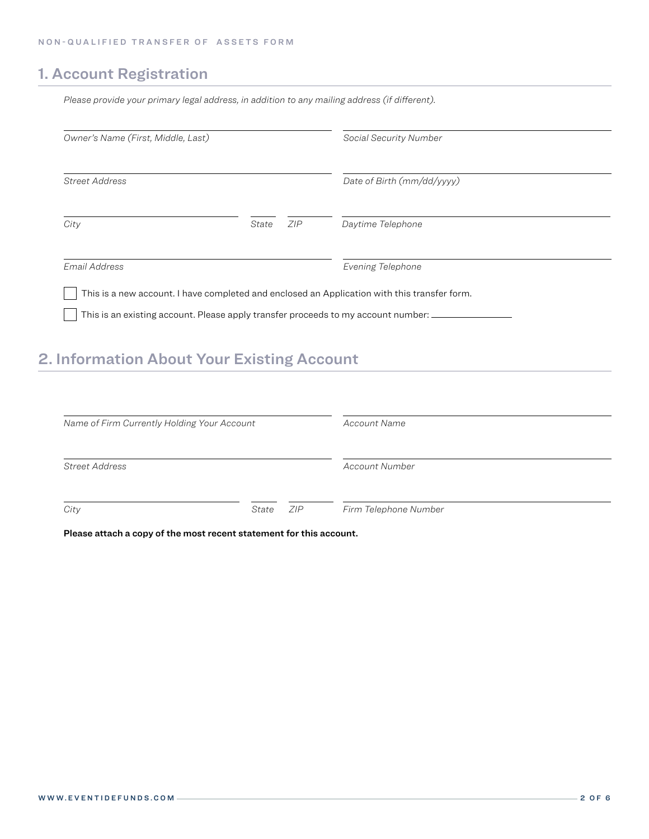### 1. Account Registration

*Please provide your primary legal address, in addition to any mailing address (if different).*

| Owner's Name (First, Middle, Last)                                                                                                                                                  |              | Social Security Number     |
|-------------------------------------------------------------------------------------------------------------------------------------------------------------------------------------|--------------|----------------------------|
| Street Address                                                                                                                                                                      |              | Date of Birth (mm/dd/yyyy) |
| City                                                                                                                                                                                | ZIP<br>State | Daytime Telephone          |
| Email Address                                                                                                                                                                       |              | Evening Telephone          |
| This is a new account. I have completed and enclosed an Application with this transfer form.<br>This is an existing account. Please apply transfer proceeds to my account number: _ |              |                            |

# 2. Information About Your Existing Account

| Name of Firm Currently Holding Your Account |               | Account Name          |  |
|---------------------------------------------|---------------|-----------------------|--|
| <b>Street Address</b>                       |               | Account Number        |  |
| City                                        | ZIP.<br>State | Firm Telephone Number |  |

Please attach a copy of the most recent statement for this account.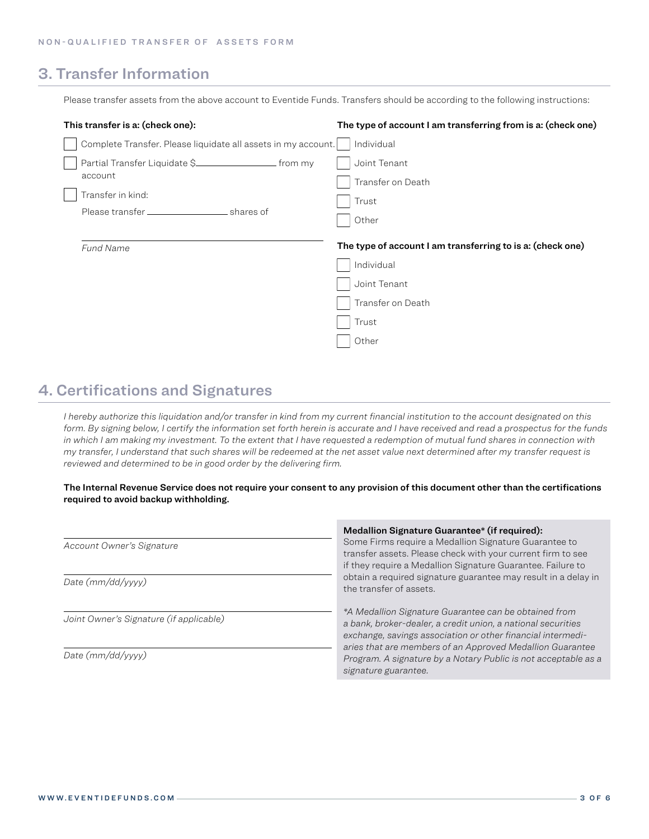### 3. Transfer Information

Please transfer assets from the above account to Eventide Funds. Transfers should be according to the following instructions:

| This transfer is a: (check one):                              | The type of account I am transferring from is a: (check one) |
|---------------------------------------------------------------|--------------------------------------------------------------|
| Complete Transfer. Please liquidate all assets in my account. | Individual                                                   |
| account<br>Transfer in kind:                                  | Joint Tenant<br>Transfer on Death<br>Trust<br>Other          |
|                                                               |                                                              |
| <b>Fund Name</b>                                              | The type of account I am transferring to is a: (check one)   |
|                                                               | Individual                                                   |
|                                                               | Joint Tenant                                                 |
|                                                               | Transfer on Death                                            |
|                                                               | Trust                                                        |

### 4. Certifications and Signatures

*I hereby authorize this liquidation and/or transfer in kind from my current financial institution to the account designated on this form. By signing below, I certify the information set forth herein is accurate and I have received and read a prospectus for the funds*  in which I am making my investment. To the extent that I have requested a redemption of mutual fund shares in connection with *my transfer, I understand that such shares will be redeemed at the net asset value next determined after my transfer request is reviewed and determined to be in good order by the delivering firm.* 

The Internal Revenue Service does not require your consent to any provision of this document other than the certifications required to avoid backup withholding.

|                                         | Medallion Signature Guarantee* (if required):                                                                                                                                                                                                     |
|-----------------------------------------|---------------------------------------------------------------------------------------------------------------------------------------------------------------------------------------------------------------------------------------------------|
| Account Owner's Signature               | Some Firms require a Medallion Signature Guarantee to<br>transfer assets. Please check with your current firm to see<br>if they require a Medallion Signature Guarantee. Failure to                                                               |
| Date $(mm/dd/yyyy)$                     | obtain a required signature guarantee may result in a delay in<br>the transfer of assets.                                                                                                                                                         |
| Joint Owner's Signature (if applicable) | *A Medallion Signature Guarantee can be obtained from<br>a bank, broker-dealer, a credit union, a national securities<br>exchange, savings association or other financial intermedi-<br>aries that are members of an Approved Medallion Guarantee |
| Date $(mm/dd/yyyy)$                     | Program. A signature by a Notary Public is not acceptable as a<br>signature guarantee.                                                                                                                                                            |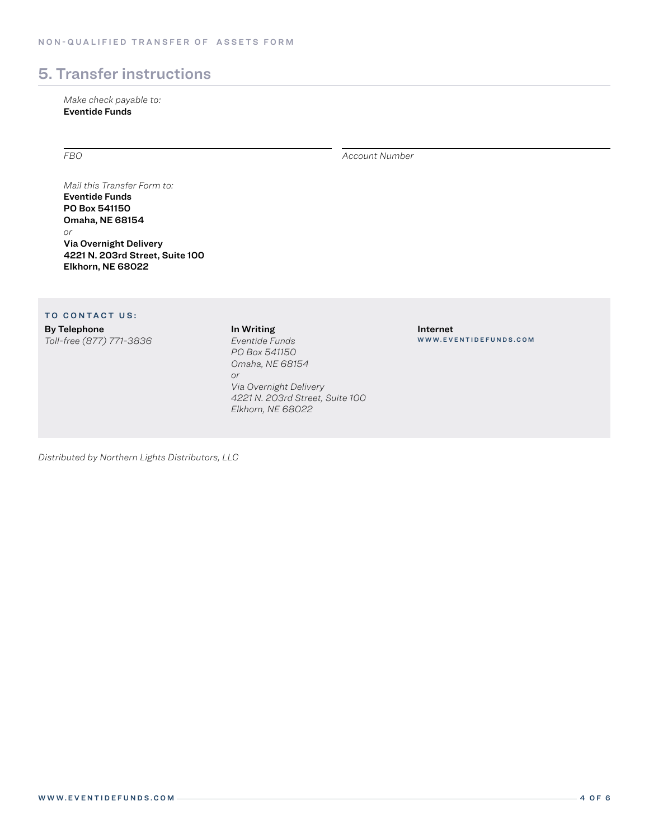## 5. Transfer instructions

*Make check payable to:* Eventide Funds

*FBO Account Number*

*Mail this Transfer Form to:* Eventide Funds PO Box 541150 Omaha, NE 68154 *or* Via Overnight Delivery 4221 N. 203rd Street, Suite 100 Elkhorn, NE 68022

#### TO CONTACT US:

By Telephone

*Toll-free (877) 771-3836*

In Writing *Eventide Funds PO Box 541150 Omaha, NE 68154 or Via Overnight Delivery 4221 N. 203rd Street, Suite 100 Elkhorn, NE 68022*

Internet WWW.EVENTIDEFUNDS.COM

*Distributed by Northern Lights Distributors, LLC*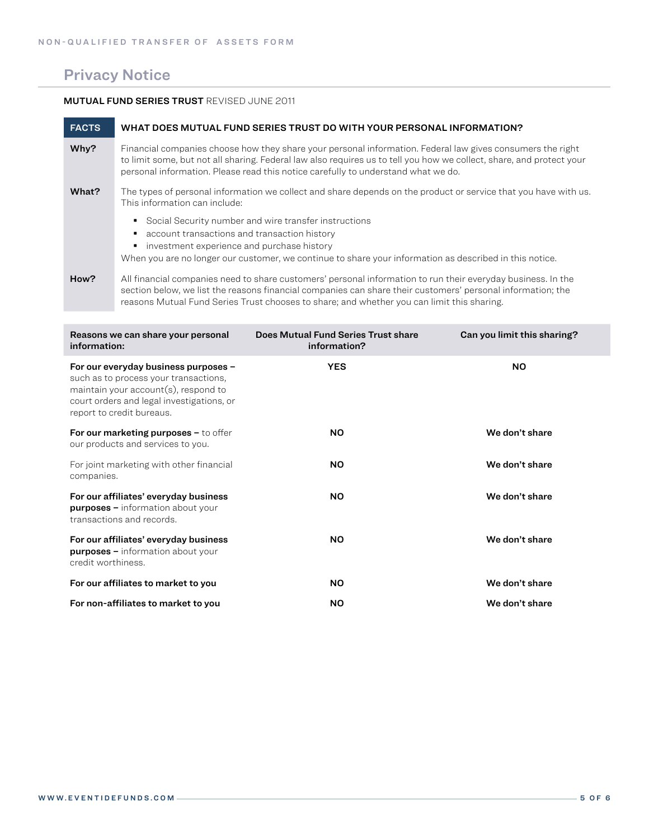### Privacy Notice

#### MUTUAL FUND SERIES TRUST REVISED JUNE 2011

| <b>FACTS</b> | WHAT DOES MUTUAL FUND SERIES TRUST DO WITH YOUR PERSONAL INFORMATION?                                                                                                                                                                                                                                                   |
|--------------|-------------------------------------------------------------------------------------------------------------------------------------------------------------------------------------------------------------------------------------------------------------------------------------------------------------------------|
| Why?         | Financial companies choose how they share your personal information. Federal law gives consumers the right<br>to limit some, but not all sharing. Federal law also requires us to tell you how we collect, share, and protect your<br>personal information. Please read this notice carefully to understand what we do. |
| What?        | The types of personal information we collect and share depends on the product or service that you have with us.<br>This information can include:                                                                                                                                                                        |
|              | Social Security number and wire transfer instructions<br>٠<br>account transactions and transaction history<br>investment experience and purchase history<br>When you are no longer our customer, we continue to share your information as described in this notice.                                                     |
| How?         | All financial companies need to share customers' personal information to run their everyday business. In the<br>section below, we list the reasons financial companies can share their customers' personal information; the                                                                                             |

reasons Mutual Fund Series Trust chooses to share; and whether you can limit this sharing.

| Reasons we can share your personal<br>information:                                                                                                                                                 | Does Mutual Fund Series Trust share<br>information? | Can you limit this sharing? |
|----------------------------------------------------------------------------------------------------------------------------------------------------------------------------------------------------|-----------------------------------------------------|-----------------------------|
| For our everyday business purposes -<br>such as to process your transactions,<br>maintain your $account(s)$ , respond to<br>court orders and legal investigations, or<br>report to credit bureaus. | <b>YES</b>                                          | <b>NO</b>                   |
| For our marketing purposes $-$ to offer<br>our products and services to you.                                                                                                                       | <b>NO</b>                                           | We don't share              |
| For joint marketing with other financial<br>companies.                                                                                                                                             | <b>NO</b>                                           | We don't share              |
| For our affiliates' everyday business<br><b>purposes</b> - information about your<br>transactions and records.                                                                                     | <b>NO</b>                                           | We don't share              |
| For our affiliates' everyday business<br><b>purposes - information about your</b><br>credit worthiness.                                                                                            | <b>NO</b>                                           | We don't share              |
| For our affiliates to market to you                                                                                                                                                                | <b>NO</b>                                           | We don't share              |
| For non-affiliates to market to you                                                                                                                                                                | <b>NO</b>                                           | We don't share              |